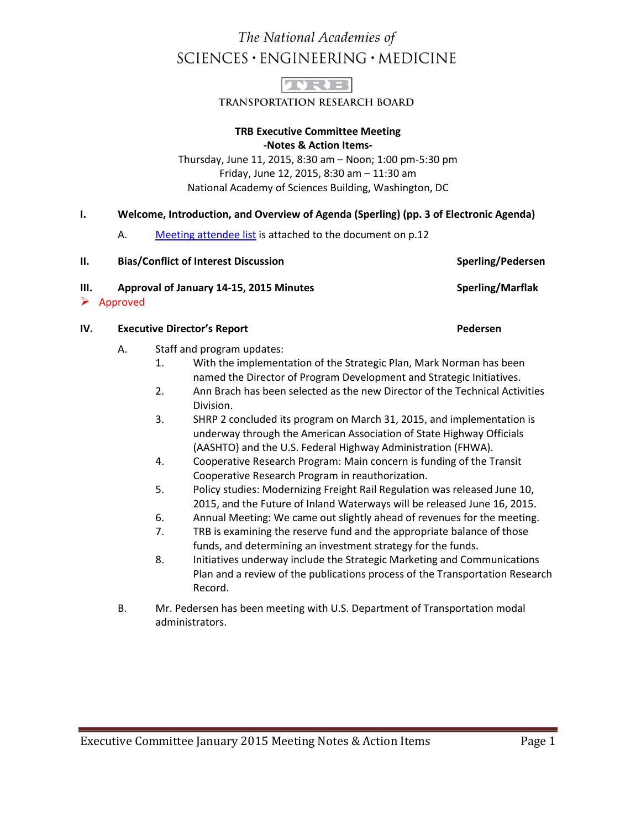# The National Academies of  $SCIENCES \cdot ENGINEERING \cdot MEDICINE$



**TRANSPORTATION RESEARCH BOARD** 

### **TRB Executive Committee Meeting -Notes & Action Items-**

Thursday, June 11, 2015, 8:30 am – Noon; 1:00 pm-5:30 pm Friday, June 12, 2015, 8:30 am – 11:30 am National Academy of Sciences Building, Washington, DC

### **I. Welcome, Introduction, and Overview of Agenda (Sperling) (pp. 3 of Electronic Agenda)**

A. Meeting attendee list is attached to the document on p.12

| II. | <b>Bias/Conflict of Interest Discussion</b>                          | Sperling/Pedersen |
|-----|----------------------------------------------------------------------|-------------------|
| Ш.  | Approval of January 14-15, 2015 Minutes<br>$\triangleright$ Approved | Sperling/Marflak  |

#### **IV. Executive Director's Report Pedersen**

- A. Staff and program updates:
	- 1. With the implementation of the Strategic Plan, Mark Norman has been named the Director of Program Development and Strategic Initiatives.
	- 2. Ann Brach has been selected as the new Director of the Technical Activities Division.
	- 3. SHRP 2 concluded its program on March 31, 2015, and implementation is underway through the American Association of State Highway Officials (AASHTO) and the U.S. Federal Highway Administration (FHWA).
	- 4. Cooperative Research Program: Main concern is funding of the Transit Cooperative Research Program in reauthorization.
	- 5. Policy studies: Modernizing Freight Rail Regulation was released June 10, 2015, and the Future of Inland Waterways will be released June 16, 2015.
	- 6. Annual Meeting: We came out slightly ahead of revenues for the meeting.
	- 7. TRB is examining the reserve fund and the appropriate balance of those funds, and determining an investment strategy for the funds.
	- 8. Initiatives underway include the Strategic Marketing and Communications Plan and a review of the publications process of the Transportation Research Record.
- B. Mr. Pedersen has been meeting with U.S. Department of Transportation modal administrators.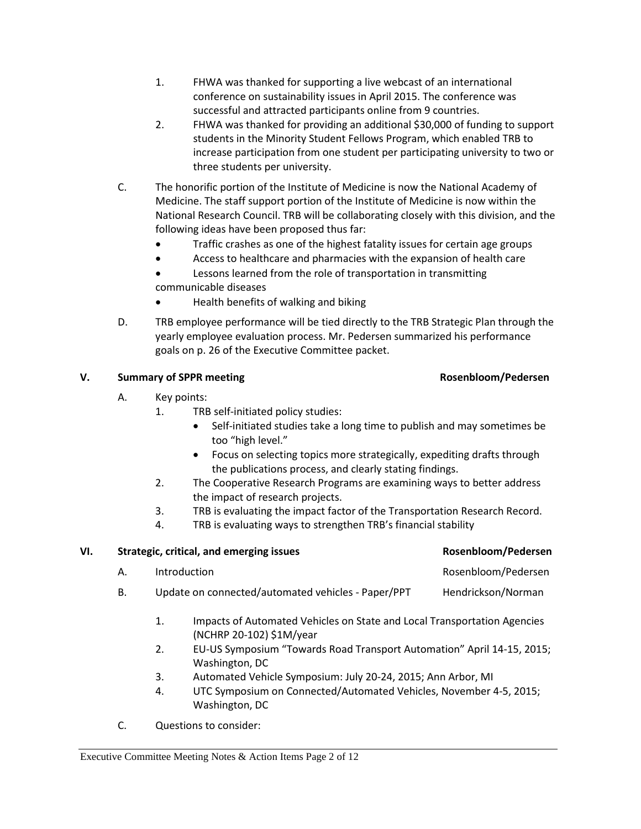- 1. FHWA was thanked for supporting a live webcast of an international conference on sustainability issues in April 2015. The conference was successful and attracted participants online from 9 countries.
- 2. FHWA was thanked for providing an additional \$30,000 of funding to support students in the Minority Student Fellows Program, which enabled TRB to increase participation from one student per participating university to two or three students per university.
- C. The honorific portion of the Institute of Medicine is now the National Academy of Medicine. The staff support portion of the Institute of Medicine is now within the National Research Council. TRB will be collaborating closely with this division, and the following ideas have been proposed thus far:
	- Traffic crashes as one of the highest fatality issues for certain age groups
	- Access to healthcare and pharmacies with the expansion of health care
	- Lessons learned from the role of transportation in transmitting communicable diseases
	- Health benefits of walking and biking
- D. TRB employee performance will be tied directly to the TRB Strategic Plan through the yearly employee evaluation process. Mr. Pedersen summarized his performance goals on p. 26 of the Executive Committee packet.

# **V.** Summary of SPPR meeting **Rosenbloom/Pedersen**

# A. Key points:

- 1. TRB self-initiated policy studies:
	- Self-initiated studies take a long time to publish and may sometimes be too "high level."
	- Focus on selecting topics more strategically, expediting drafts through the publications process, and clearly stating findings.
- 2. The Cooperative Research Programs are examining ways to better address the impact of research projects.
- 3. TRB is evaluating the impact factor of the Transportation Research Record.
- 4. TRB is evaluating ways to strengthen TRB's financial stability

| VI. | Strategic, critical, and emerging issues |                    |                                                                                                                                                                                                                                                                                                                                                    | Rosenbloom/Pedersen |
|-----|------------------------------------------|--------------------|----------------------------------------------------------------------------------------------------------------------------------------------------------------------------------------------------------------------------------------------------------------------------------------------------------------------------------------------------|---------------------|
|     | Α.                                       | Introduction       |                                                                                                                                                                                                                                                                                                                                                    | Rosenbloom/Pedersen |
|     | В.                                       |                    | Update on connected/automated vehicles - Paper/PPT                                                                                                                                                                                                                                                                                                 | Hendrickson/Norman  |
|     |                                          | 1.                 | Impacts of Automated Vehicles on State and Local Transportation Agencies<br>(NCHRP 20-102) \$1M/year                                                                                                                                                                                                                                               |                     |
|     |                                          | 2.                 | EU-US Symposium "Towards Road Transport Automation" April 14-15, 2015;<br>Washington, DC                                                                                                                                                                                                                                                           |                     |
|     |                                          | 3.<br>$\mathbf{A}$ | Automated Vehicle Symposium: July 20-24, 2015; Ann Arbor, MI<br>$\mathbf{H}$ . The contraction of $\mathbf{C}$ and a start $\mathbf{A}$ is the contracted $\mathbf{H}$ and $\mathbf{A}$ is the contracted of $\mathbf{F}$ . And $\mathbf{F}$ and $\mathbf{F}$ and $\mathbf{F}$ and $\mathbf{F}$ and $\mathbf{F}$ and $\mathbf{F}$ and $\mathbf{F}$ |                     |

- 4. UTC Symposium on Connected/Automated Vehicles, November 4-5, 2015; Washington, DC
- C. Questions to consider: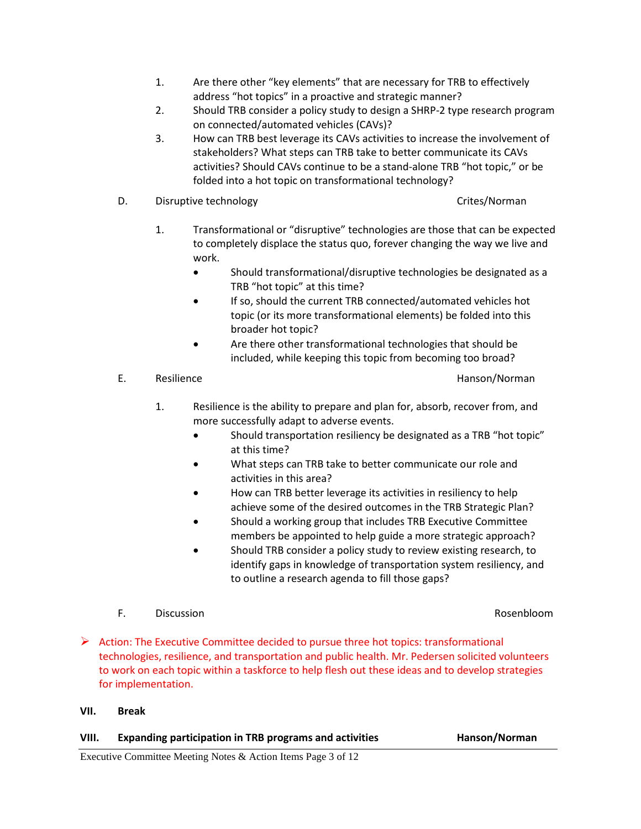- 1. Are there other "key elements" that are necessary for TRB to effectively address "hot topics" in a proactive and strategic manner?
- 2. Should TRB consider a policy study to design a SHRP-2 type research program on connected/automated vehicles (CAVs)?
- 3. How can TRB best leverage its CAVs activities to increase the involvement of stakeholders? What steps can TRB take to better communicate its CAVs activities? Should CAVs continue to be a stand-alone TRB "hot topic," or be folded into a hot topic on transformational technology?
- D. Disruptive technology D. Crites/Norman

- 1. Transformational or "disruptive" technologies are those that can be expected to completely displace the status quo, forever changing the way we live and work.
	- Should transformational/disruptive technologies be designated as a TRB "hot topic" at this time?
	- If so, should the current TRB connected/automated vehicles hot topic (or its more transformational elements) be folded into this broader hot topic?
	- Are there other transformational technologies that should be included, while keeping this topic from becoming too broad?
- E. Resilience **Hanson**/Norman
	-
	- 1. Resilience is the ability to prepare and plan for, absorb, recover from, and more successfully adapt to adverse events.
		- Should transportation resiliency be designated as a TRB "hot topic" at this time?
		- What steps can TRB take to better communicate our role and activities in this area?
		- How can TRB better leverage its activities in resiliency to help achieve some of the desired outcomes in the TRB Strategic Plan?
		- Should a working group that includes TRB Executive Committee members be appointed to help guide a more strategic approach?
		- Should TRB consider a policy study to review existing research, to identify gaps in knowledge of transportation system resiliency, and to outline a research agenda to fill those gaps?
- F. Discussion Rosenbloom
- 
- $\triangleright$  Action: The Executive Committee decided to pursue three hot topics: transformational technologies, resilience, and transportation and public health. Mr. Pedersen solicited volunteers to work on each topic within a taskforce to help flesh out these ideas and to develop strategies for implementation.

### **VII. Break**

# **VIII. Expanding participation in TRB programs and activities Hanson/Norman**

Executive Committee Meeting Notes & Action Items Page 3 of 12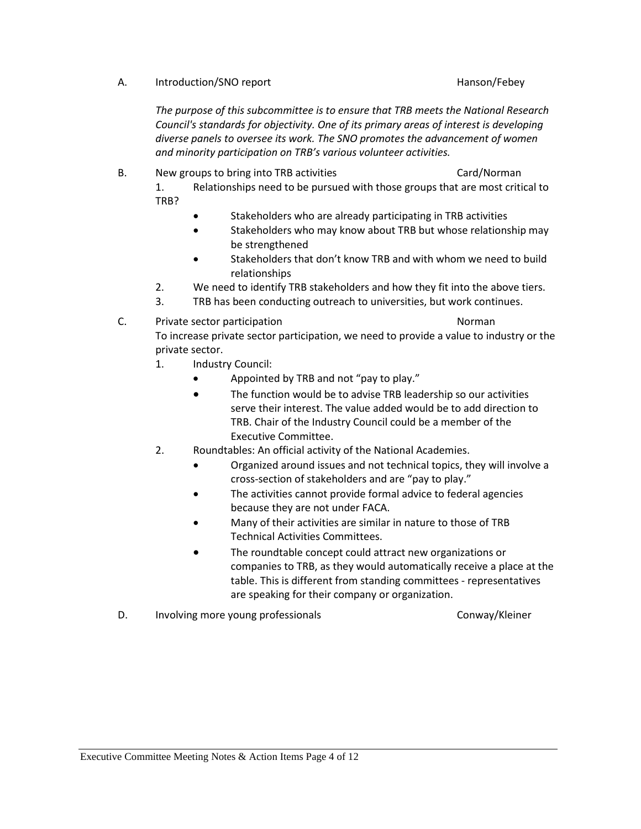A. Introduction/SNO report the example of the Hanson/Febey

TRB?

*The purpose of this subcommittee is to ensure that TRB meets the National Research Council's standards for objectivity. One of its primary areas of interest is developing diverse panels to oversee its work. The SNO promotes the advancement of women and minority participation on TRB's various volunteer activities.*

- B. New groups to bring into TRB activities Card Card/Norman 1. Relationships need to be pursued with those groups that are most critical to
	- Stakeholders who are already participating in TRB activities
	- Stakeholders who may know about TRB but whose relationship may be strengthened
	- Stakeholders that don't know TRB and with whom we need to build relationships
	- 2. We need to identify TRB stakeholders and how they fit into the above tiers.
	- 3. TRB has been conducting outreach to universities, but work continues.
- C. Private sector participation Norman Norman To increase private sector participation, we need to provide a value to industry or the private sector.
	- 1. Industry Council:
		- Appointed by TRB and not "pay to play."
		- The function would be to advise TRB leadership so our activities serve their interest. The value added would be to add direction to TRB. Chair of the Industry Council could be a member of the Executive Committee.
	- 2. Roundtables: An official activity of the National Academies.
		- Organized around issues and not technical topics, they will involve a cross-section of stakeholders and are "pay to play."
		- The activities cannot provide formal advice to federal agencies because they are not under FACA.
		- Many of their activities are similar in nature to those of TRB Technical Activities Committees.
		- The roundtable concept could attract new organizations or companies to TRB, as they would automatically receive a place at the table. This is different from standing committees - representatives are speaking for their company or organization.
- D. Involving more young professionals The Conway/Kleiner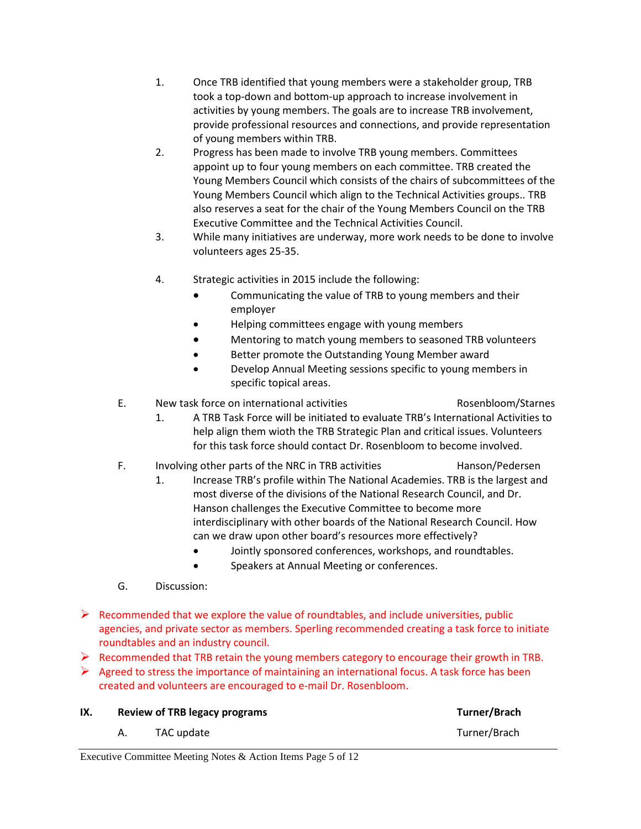- 1. Once TRB identified that young members were a stakeholder group, TRB took a top-down and bottom-up approach to increase involvement in activities by young members. The goals are to increase TRB involvement, provide professional resources and connections, and provide representation of young members within TRB.
- 2. Progress has been made to involve TRB young members. Committees appoint up to four young members on each committee. TRB created the Young Members Council which consists of the chairs of subcommittees of the Young Members Council which align to the Technical Activities groups.. TRB also reserves a seat for the chair of the Young Members Council on the TRB Executive Committee and the Technical Activities Council.
- 3. While many initiatives are underway, more work needs to be done to involve volunteers ages 25-35.
- 4. Strategic activities in 2015 include the following:
	- Communicating the value of TRB to young members and their employer
	- Helping committees engage with young members
	- Mentoring to match young members to seasoned TRB volunteers
	- Better promote the Outstanding Young Member award
	- Develop Annual Meeting sessions specific to young members in specific topical areas.

# E. New task force on international activities **Rosenbloom/Starnes** Rosenbloom/Starnes

- 1. A TRB Task Force will be initiated to evaluate TRB's International Activities to help align them wioth the TRB Strategic Plan and critical issues. Volunteers for this task force should contact Dr. Rosenbloom to become involved.
- F. Involving other parts of the NRC in TRB activities Hanson/Pedersen
	- 1. Increase TRB's profile within The National Academies. TRB is the largest and most diverse of the divisions of the National Research Council, and Dr. Hanson challenges the Executive Committee to become more interdisciplinary with other boards of the National Research Council. How can we draw upon other board's resources more effectively?
		- Jointly sponsored conferences, workshops, and roundtables.
		- Speakers at Annual Meeting or conferences.
- G. Discussion:
- $\triangleright$  Recommended that we explore the value of roundtables, and include universities, public agencies, and private sector as members. Sperling recommended creating a task force to initiate roundtables and an industry council.
- $\triangleright$  Recommended that TRB retain the young members category to encourage their growth in TRB.
- $\triangleright$  Agreed to stress the importance of maintaining an international focus. A task force has been created and volunteers are encouraged to e-mail Dr. Rosenbloom.

| IX. | <b>Review of TRB legacy programs</b> |            | Turner/Brach |
|-----|--------------------------------------|------------|--------------|
|     |                                      | TAC update | Turner/Brach |

Executive Committee Meeting Notes & Action Items Page 5 of 12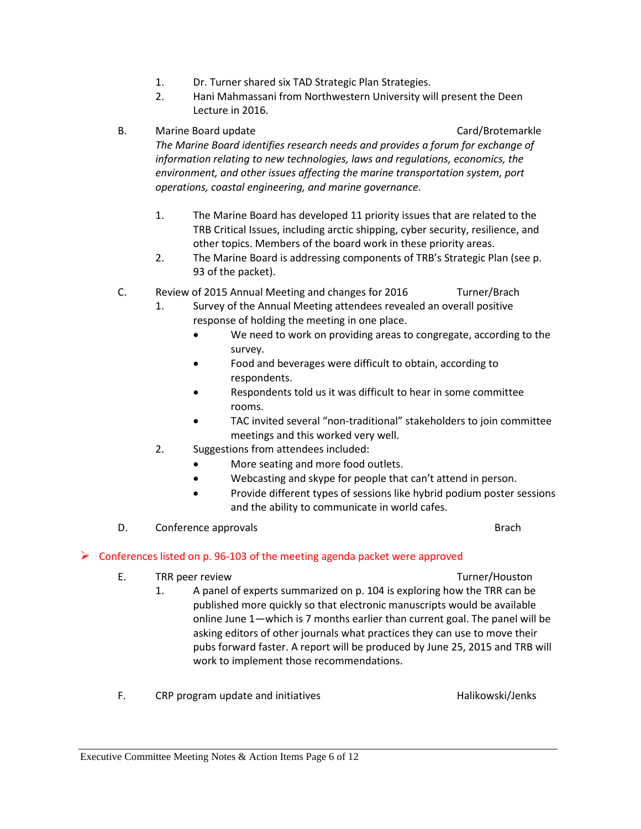- 1. Dr. Turner shared six TAD Strategic Plan Strategies.
- 2. Hani Mahmassani from Northwestern University will present the Deen Lecture in 2016.

### B. Marine Board update Card Card/Brotemarkle

*The Marine Board identifies research needs and provides a forum for exchange of information relating to new technologies, laws and regulations, economics, the environment, and other issues affecting the marine transportation system, port operations, coastal engineering, and marine governance.*

- 1. The Marine Board has developed 11 priority issues that are related to the TRB Critical Issues, including arctic shipping, cyber security, resilience, and other topics. Members of the board work in these priority areas.
- 2. The Marine Board is addressing components of TRB's Strategic Plan (see p. 93 of the packet).
- C. Review of 2015 Annual Meeting and changes for 2016 Turner/Brach
	- 1. Survey of the Annual Meeting attendees revealed an overall positive response of holding the meeting in one place.
		- We need to work on providing areas to congregate, according to the survey.
		- Food and beverages were difficult to obtain, according to respondents.
		- Respondents told us it was difficult to hear in some committee rooms.
		- TAC invited several "non-traditional" stakeholders to join committee meetings and this worked very well.
	- 2. Suggestions from attendees included:
		- More seating and more food outlets.
		- Webcasting and skype for people that can't attend in person.
		- Provide different types of sessions like hybrid podium poster sessions and the ability to communicate in world cafes.
- D. Conference approvals by the context of the context of the context of the context of the context of the context of the context of the context of the context of the context of the context of the context of the context of

### $\triangleright$  Conferences listed on p. 96-103 of the meeting agenda packet were approved

E. TRR peer review TRR and the Contract of the Turner/Houston

- 1. A panel of experts summarized on p. 104 is exploring how the TRR can be published more quickly so that electronic manuscripts would be available online June 1—which is 7 months earlier than current goal. The panel will be asking editors of other journals what practices they can use to move their pubs forward faster. A report will be produced by June 25, 2015 and TRB will work to implement those recommendations.
- F. CRP program update and initiatives example that the Halikowski/Jenks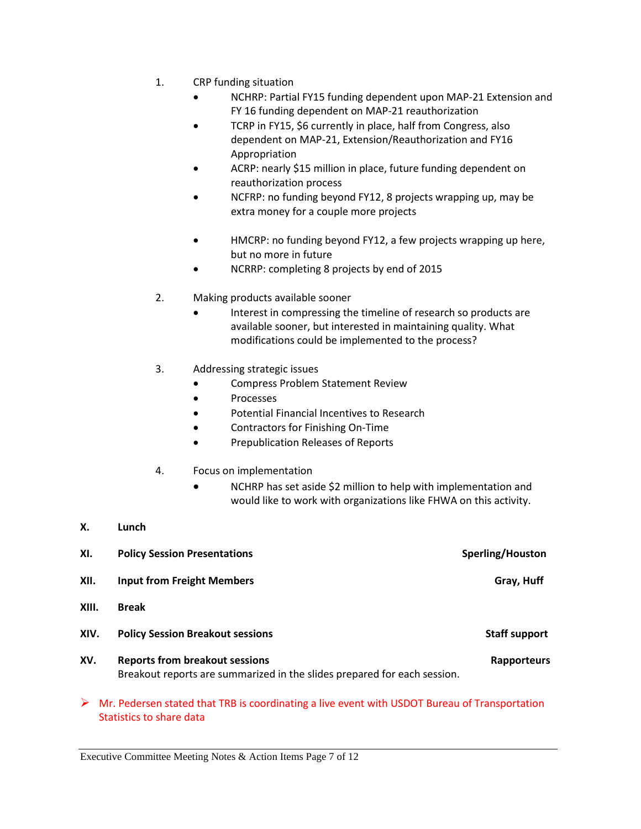- 1. CRP funding situation
	- NCHRP: Partial FY15 funding dependent upon MAP-21 Extension and FY 16 funding dependent on MAP-21 reauthorization
	- TCRP in FY15, \$6 currently in place, half from Congress, also dependent on MAP-21, Extension/Reauthorization and FY16 Appropriation
	- ACRP: nearly \$15 million in place, future funding dependent on reauthorization process
	- NCFRP: no funding beyond FY12, 8 projects wrapping up, may be extra money for a couple more projects
	- HMCRP: no funding beyond FY12, a few projects wrapping up here, but no more in future
	- NCRRP: completing 8 projects by end of 2015
- 2. Making products available sooner
	- Interest in compressing the timeline of research so products are available sooner, but interested in maintaining quality. What modifications could be implemented to the process?
- 3. Addressing strategic issues
	- Compress Problem Statement Review
	- Processes
	- Potential Financial Incentives to Research
	- Contractors for Finishing On-Time
	- Prepublication Releases of Reports
- 4. Focus on implementation
	- NCHRP has set aside \$2 million to help with implementation and would like to work with organizations like FHWA on this activity.
- **X. Lunch**

| XI.   | <b>Policy Session Presentations</b>                                                                               | Sperling/Houston     |
|-------|-------------------------------------------------------------------------------------------------------------------|----------------------|
| XII.  | <b>Input from Freight Members</b>                                                                                 | Gray, Huff           |
| XIII. | <b>Break</b>                                                                                                      |                      |
| XIV.  | <b>Policy Session Breakout sessions</b>                                                                           | <b>Staff support</b> |
| XV.   | <b>Reports from breakout sessions</b><br>Breakout reports are summarized in the slides prepared for each session. | Rapporteurs          |

 $\triangleright$  Mr. Pedersen stated that TRB is coordinating a live event with USDOT Bureau of Transportation Statistics to share data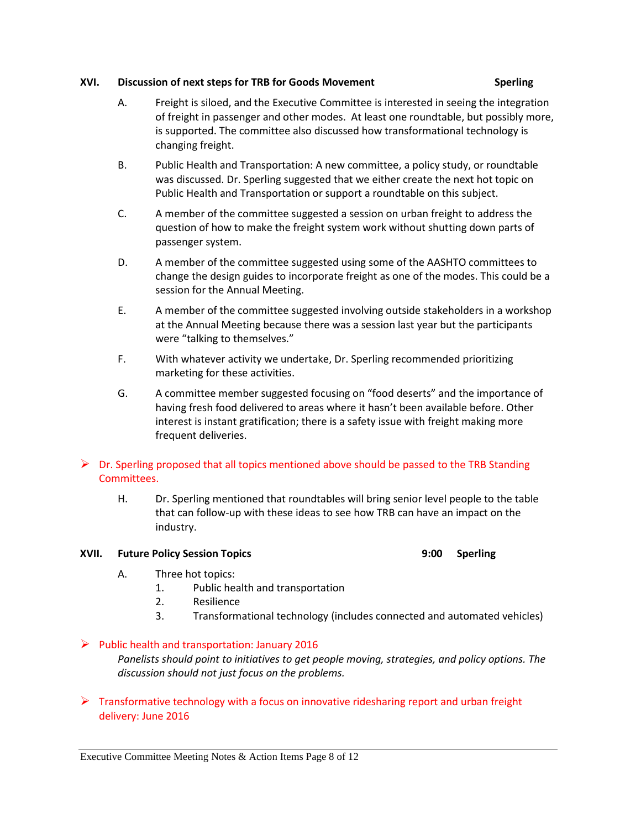#### **XVI. Discussion of next steps for TRB for Goods Movement Sperling**

- A. Freight is siloed, and the Executive Committee is interested in seeing the integration of freight in passenger and other modes. At least one roundtable, but possibly more, is supported. The committee also discussed how transformational technology is changing freight.
- B. Public Health and Transportation: A new committee, a policy study, or roundtable was discussed. Dr. Sperling suggested that we either create the next hot topic on Public Health and Transportation or support a roundtable on this subject.
- C. A member of the committee suggested a session on urban freight to address the question of how to make the freight system work without shutting down parts of passenger system.
- D. A member of the committee suggested using some of the AASHTO committees to change the design guides to incorporate freight as one of the modes. This could be a session for the Annual Meeting.
- E. A member of the committee suggested involving outside stakeholders in a workshop at the Annual Meeting because there was a session last year but the participants were "talking to themselves."
- F. With whatever activity we undertake, Dr. Sperling recommended prioritizing marketing for these activities.
- G. A committee member suggested focusing on "food deserts" and the importance of having fresh food delivered to areas where it hasn't been available before. Other interest is instant gratification; there is a safety issue with freight making more frequent deliveries.

# $\triangleright$  Dr. Sperling proposed that all topics mentioned above should be passed to the TRB Standing Committees.

H. Dr. Sperling mentioned that roundtables will bring senior level people to the table that can follow-up with these ideas to see how TRB can have an impact on the industry.

### **XVII. Future Policy Session Topics 9:00 Sperling**

- A. Three hot topics:
	- 1. Public health and transportation
	- 2. Resilience
	- 3. Transformational technology (includes connected and automated vehicles)

# $\triangleright$  Public health and transportation: January 2016

*Panelists should point to initiatives to get people moving, strategies, and policy options. The discussion should not just focus on the problems.*

 $\triangleright$  Transformative technology with a focus on innovative ridesharing report and urban freight delivery: June 2016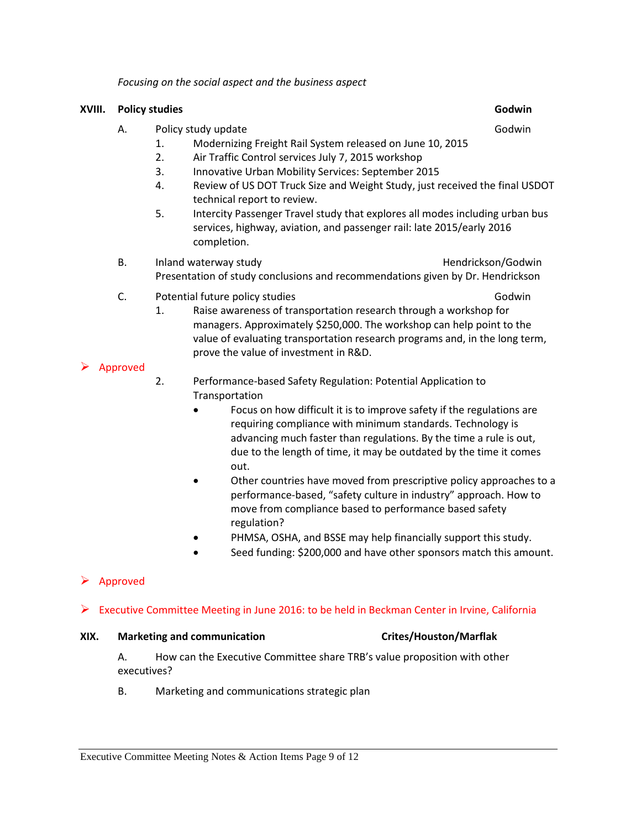*Focusing on the social aspect and the business aspect*

### **XVIII. Policy studies Godwin**

- A. Policy study update Godwin and the Godwin study update
	- 1. Modernizing Freight Rail System released on June 10, 2015
	- 2. Air Traffic Control services July 7, 2015 workshop
	- 3. Innovative Urban Mobility Services: September 2015
	- 4. Review of US DOT Truck Size and Weight Study, just received the final USDOT technical report to review.
	- 5. Intercity Passenger Travel study that explores all modes including urban bus services, highway, aviation, and passenger rail: late 2015/early 2016 completion.
- B. Inland waterway study **Example 20** and the Hendrickson/Godwin Presentation of study conclusions and recommendations given by Dr. Hendrickson
- C. Potential future policy studies Godwin C. C. Potential future policy studies Godwin
	- 1. Raise awareness of transportation research through a workshop for managers. Approximately \$250,000. The workshop can help point to the value of evaluating transportation research programs and, in the long term, prove the value of investment in R&D.

### Approved

- 2. Performance-based Safety Regulation: Potential Application to **Transportation** 
	- Focus on how difficult it is to improve safety if the regulations are requiring compliance with minimum standards. Technology is advancing much faster than regulations. By the time a rule is out, due to the length of time, it may be outdated by the time it comes out.
	- Other countries have moved from prescriptive policy approaches to a performance-based, "safety culture in industry" approach. How to move from compliance based to performance based safety regulation?
	- PHMSA, OSHA, and BSSE may help financially support this study.
	- Seed funding: \$200,000 and have other sponsors match this amount.

# Approved

# Executive Committee Meeting in June 2016: to be held in Beckman Center in Irvine, California

#### **XIX. Marketing and communication Crites/Houston/Marflak**

### A. How can the Executive Committee share TRB's value proposition with other executives?

B. Marketing and communications strategic plan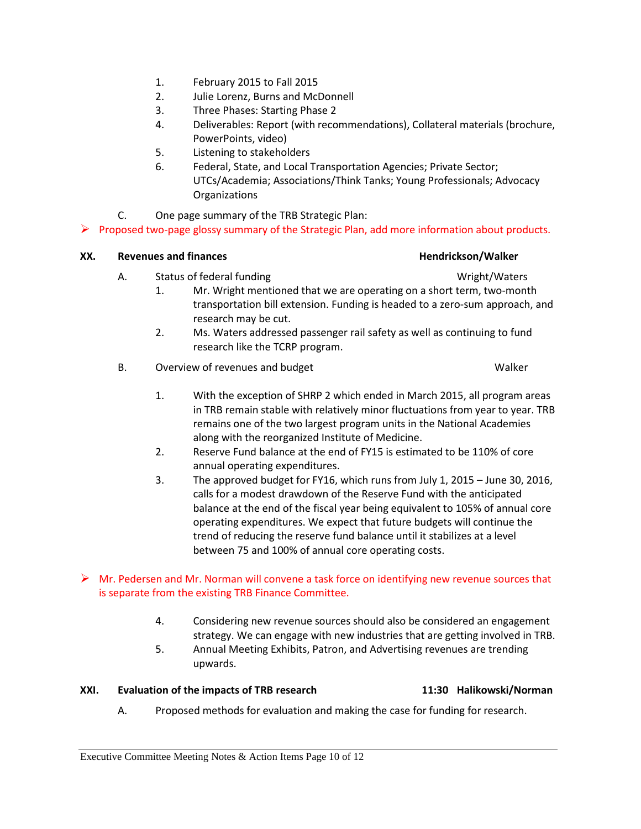- 1. February 2015 to Fall 2015
- 2. Julie Lorenz, Burns and McDonnell
- 3. Three Phases: Starting Phase 2
- 4. Deliverables: Report (with recommendations), Collateral materials (brochure, PowerPoints, video)
- 5. Listening to stakeholders
- 6. Federal, State, and Local Transportation Agencies; Private Sector; UTCs/Academia; Associations/Think Tanks; Young Professionals; Advocacy **Organizations**
- C. One page summary of the TRB Strategic Plan:

 $\triangleright$  Proposed two-page glossy summary of the Strategic Plan, add more information about products.

### **XX.** Revenues and finances **Hendrickson/Walker Hendrickson/Walker**

- A. Status of federal funding Status and Status of Federal funding Wright/Waters
	-
	- 1. Mr. Wright mentioned that we are operating on a short term, two-month transportation bill extension. Funding is headed to a zero-sum approach, and research may be cut.
	- 2. Ms. Waters addressed passenger rail safety as well as continuing to fund research like the TCRP program.
- B. Overview of revenues and budget New York Channel Malker
	- 1. With the exception of SHRP 2 which ended in March 2015, all program areas in TRB remain stable with relatively minor fluctuations from year to year. TRB remains one of the two largest program units in the National Academies along with the reorganized Institute of Medicine.
	- 2. Reserve Fund balance at the end of FY15 is estimated to be 110% of core annual operating expenditures.
	- 3. The approved budget for FY16, which runs from July 1, 2015 June 30, 2016, calls for a modest drawdown of the Reserve Fund with the anticipated balance at the end of the fiscal year being equivalent to 105% of annual core operating expenditures. We expect that future budgets will continue the trend of reducing the reserve fund balance until it stabilizes at a level between 75 and 100% of annual core operating costs.

# $\triangleright$  Mr. Pedersen and Mr. Norman will convene a task force on identifying new revenue sources that is separate from the existing TRB Finance Committee.

- 4. Considering new revenue sources should also be considered an engagement strategy. We can engage with new industries that are getting involved in TRB.
- 5. Annual Meeting Exhibits, Patron, and Advertising revenues are trending upwards.

### **XXI. Evaluation of the impacts of TRB research 11:30 Halikowski/Norman**

A. Proposed methods for evaluation and making the case for funding for research.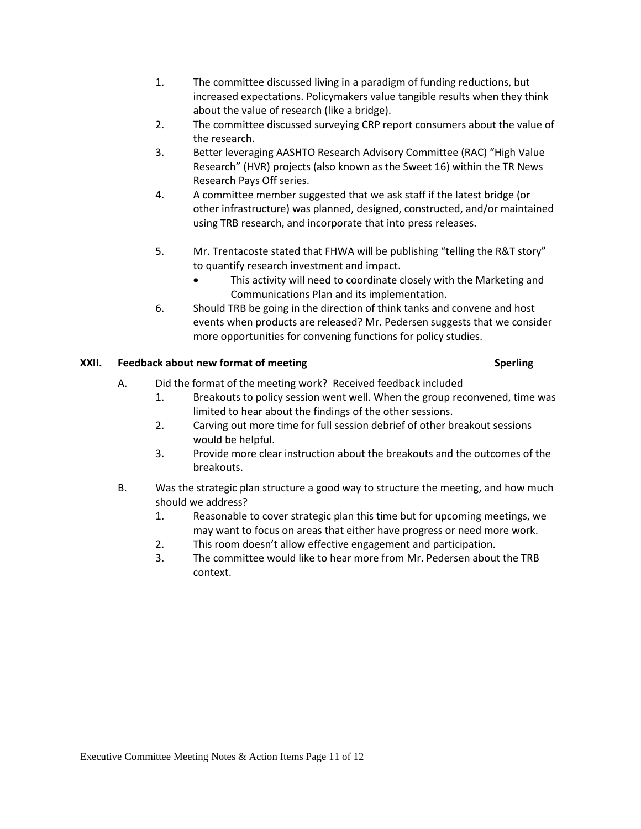- 1. The committee discussed living in a paradigm of funding reductions, but increased expectations. Policymakers value tangible results when they think about the value of research (like a bridge).
- 2. The committee discussed surveying CRP report consumers about the value of the research.
- 3. Better leveraging AASHTO Research Advisory Committee (RAC) "High Value Research" (HVR) projects (also known as the Sweet 16) within the TR News Research Pays Off series.
- 4. A committee member suggested that we ask staff if the latest bridge (or other infrastructure) was planned, designed, constructed, and/or maintained using TRB research, and incorporate that into press releases.
- 5. Mr. Trentacoste stated that FHWA will be publishing "telling the R&T story" to quantify research investment and impact.
	- This activity will need to coordinate closely with the Marketing and Communications Plan and its implementation.
- 6. Should TRB be going in the direction of think tanks and convene and host events when products are released? Mr. Pedersen suggests that we consider more opportunities for convening functions for policy studies.

# **XXII. Feedback about new format of meeting Sperling**

- A. Did the format of the meeting work? Received feedback included
	- 1. Breakouts to policy session went well. When the group reconvened, time was limited to hear about the findings of the other sessions.
	- 2. Carving out more time for full session debrief of other breakout sessions would be helpful.
	- 3. Provide more clear instruction about the breakouts and the outcomes of the breakouts.
- B. Was the strategic plan structure a good way to structure the meeting, and how much should we address?
	- 1. Reasonable to cover strategic plan this time but for upcoming meetings, we may want to focus on areas that either have progress or need more work.
	- 2. This room doesn't allow effective engagement and participation.
	- 3. The committee would like to hear more from Mr. Pedersen about the TRB context.